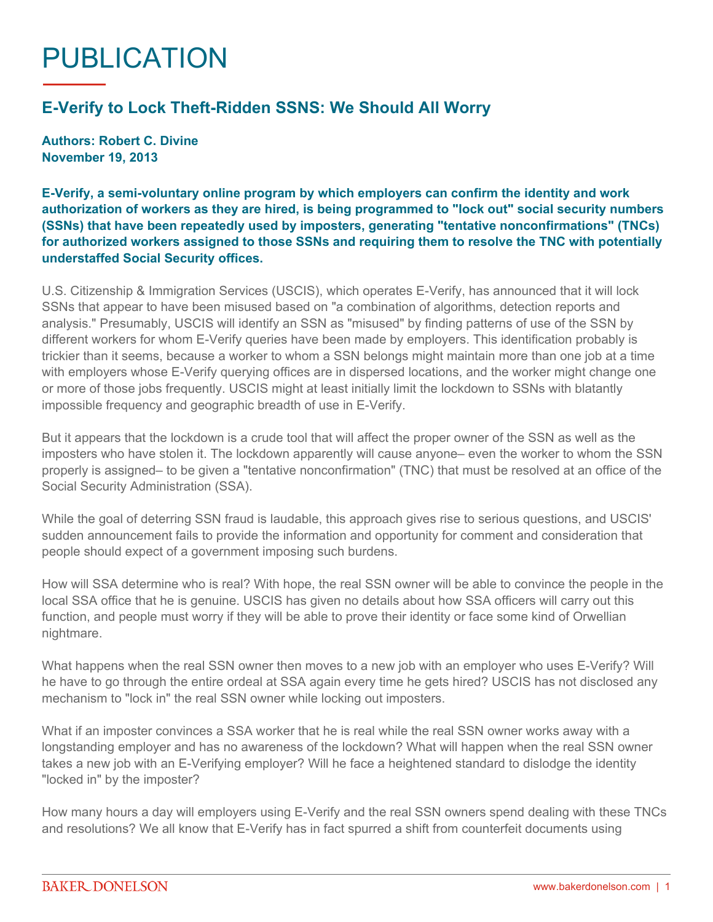## PUBLICATION

## **E-Verify to Lock Theft-Ridden SSNS: We Should All Worry**

**Authors: Robert C. Divine November 19, 2013**

**E-Verify, a semi-voluntary online program by which employers can confirm the identity and work authorization of workers as they are hired, is being programmed to "lock out" social security numbers (SSNs) that have been repeatedly used by imposters, generating "tentative nonconfirmations" (TNCs) for authorized workers assigned to those SSNs and requiring them to resolve the TNC with potentially understaffed Social Security offices.**

U.S. Citizenship & Immigration Services (USCIS), which operates E-Verify, has announced that it will lock SSNs that appear to have been misused based on "a combination of algorithms, detection reports and analysis." Presumably, USCIS will identify an SSN as "misused" by finding patterns of use of the SSN by different workers for whom E-Verify queries have been made by employers. This identification probably is trickier than it seems, because a worker to whom a SSN belongs might maintain more than one job at a time with employers whose E-Verify querying offices are in dispersed locations, and the worker might change one or more of those jobs frequently. USCIS might at least initially limit the lockdown to SSNs with blatantly impossible frequency and geographic breadth of use in E-Verify.

But it appears that the lockdown is a crude tool that will affect the proper owner of the SSN as well as the imposters who have stolen it. The lockdown apparently will cause anyone– even the worker to whom the SSN properly is assigned– to be given a "tentative nonconfirmation" (TNC) that must be resolved at an office of the Social Security Administration (SSA).

While the goal of deterring SSN fraud is laudable, this approach gives rise to serious questions, and USCIS' sudden announcement fails to provide the information and opportunity for comment and consideration that people should expect of a government imposing such burdens.

How will SSA determine who is real? With hope, the real SSN owner will be able to convince the people in the local SSA office that he is genuine. USCIS has given no details about how SSA officers will carry out this function, and people must worry if they will be able to prove their identity or face some kind of Orwellian nightmare.

What happens when the real SSN owner then moves to a new job with an employer who uses E-Verify? Will he have to go through the entire ordeal at SSA again every time he gets hired? USCIS has not disclosed any mechanism to "lock in" the real SSN owner while locking out imposters.

What if an imposter convinces a SSA worker that he is real while the real SSN owner works away with a longstanding employer and has no awareness of the lockdown? What will happen when the real SSN owner takes a new job with an E-Verifying employer? Will he face a heightened standard to dislodge the identity "locked in" by the imposter?

How many hours a day will employers using E-Verify and the real SSN owners spend dealing with these TNCs and resolutions? We all know that E-Verify has in fact spurred a shift from counterfeit documents using